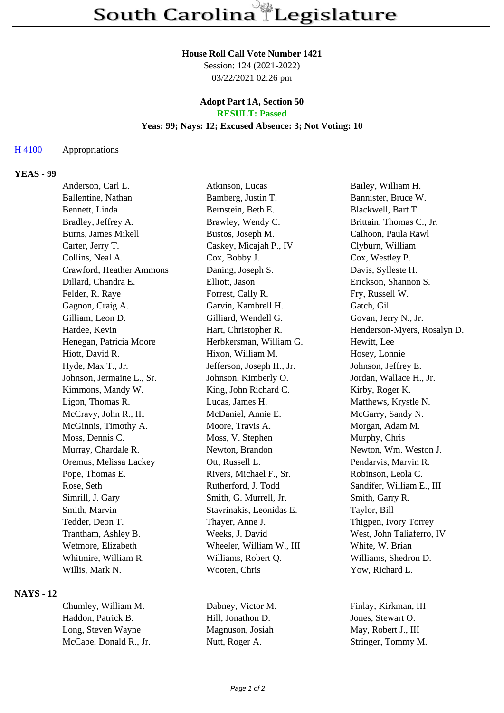#### **House Roll Call Vote Number 1421**

Session: 124 (2021-2022) 03/22/2021 02:26 pm

#### **Adopt Part 1A, Section 50 RESULT: Passed**

### **Yeas: 99; Nays: 12; Excused Absence: 3; Not Voting: 10**

### H 4100 Appropriations

### **YEAS - 99**

| Anderson, Carl L.         | Atkinson, Lucas           | Bailey, William H.          |
|---------------------------|---------------------------|-----------------------------|
| Ballentine, Nathan        | Bamberg, Justin T.        | Bannister, Bruce W.         |
| Bennett, Linda            | Bernstein, Beth E.        | Blackwell, Bart T.          |
| Bradley, Jeffrey A.       | Brawley, Wendy C.         | Brittain, Thomas C., Jr.    |
| Burns, James Mikell       | Bustos, Joseph M.         | Calhoon, Paula Rawl         |
| Carter, Jerry T.          | Caskey, Micajah P., IV    | Clyburn, William            |
| Collins, Neal A.          | Cox, Bobby J.             | Cox, Westley P.             |
| Crawford, Heather Ammons  | Daning, Joseph S.         | Davis, Sylleste H.          |
| Dillard, Chandra E.       | Elliott, Jason            | Erickson, Shannon S.        |
| Felder, R. Raye           | Forrest, Cally R.         | Fry, Russell W.             |
| Gagnon, Craig A.          | Garvin, Kambrell H.       | Gatch, Gil                  |
| Gilliam, Leon D.          | Gilliard, Wendell G.      | Govan, Jerry N., Jr.        |
| Hardee, Kevin             | Hart, Christopher R.      | Henderson-Myers, Rosalyn D. |
| Henegan, Patricia Moore   | Herbkersman, William G.   | Hewitt, Lee                 |
| Hiott, David R.           | Hixon, William M.         | Hosey, Lonnie               |
| Hyde, Max T., Jr.         | Jefferson, Joseph H., Jr. | Johnson, Jeffrey E.         |
| Johnson, Jermaine L., Sr. | Johnson, Kimberly O.      | Jordan, Wallace H., Jr.     |
| Kimmons, Mandy W.         | King, John Richard C.     | Kirby, Roger K.             |
| Ligon, Thomas R.          | Lucas, James H.           | Matthews, Krystle N.        |
| McCravy, John R., III     | McDaniel, Annie E.        | McGarry, Sandy N.           |
| McGinnis, Timothy A.      | Moore, Travis A.          | Morgan, Adam M.             |
| Moss, Dennis C.           | Moss, V. Stephen          | Murphy, Chris               |
| Murray, Chardale R.       | Newton, Brandon           | Newton, Wm. Weston J.       |
| Oremus, Melissa Lackey    | Ott, Russell L.           | Pendarvis, Marvin R.        |
| Pope, Thomas E.           | Rivers, Michael F., Sr.   | Robinson, Leola C.          |
| Rose, Seth                | Rutherford, J. Todd       | Sandifer, William E., III   |
| Simrill, J. Gary          | Smith, G. Murrell, Jr.    | Smith, Garry R.             |
| Smith, Marvin             | Stavrinakis, Leonidas E.  | Taylor, Bill                |
| Tedder, Deon T.           | Thayer, Anne J.           | Thigpen, Ivory Torrey       |
| Trantham, Ashley B.       | Weeks, J. David           | West, John Taliaferro, IV   |
| Wetmore, Elizabeth        | Wheeler, William W., III  | White, W. Brian             |
| Whitmire, William R.      | Williams, Robert Q.       | Williams, Shedron D.        |
| Willis, Mark N.           | Wooten, Chris             | Yow, Richard L.             |

# **NAYS - 12**

Chumley, William M. Dabney, Victor M. Finlay, Kirkman, III Haddon, Patrick B. Hill, Jonathon D. Jones, Stewart O. Long, Steven Wayne Magnuson, Josiah May, Robert J., III McCabe, Donald R., Jr. Nutt, Roger A. Stringer, Tommy M.